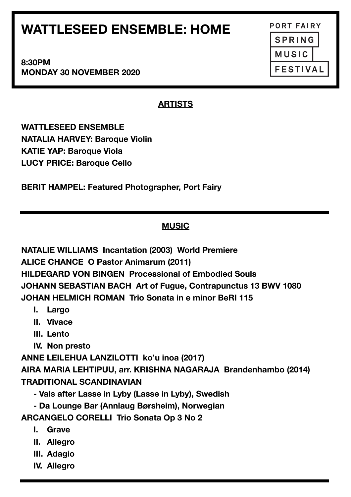# **WATTLESEED ENSEMBLE: HOME**

**8:30PM MONDAY 30 NOVEMBER 2020** 

## **ARTISTS**

**WATTLESEED ENSEMBLE NATALIA HARVEY: Baroque Violin KATIE YAP: Baroque Viola LUCY PRICE: Baroque Cello** 

**BERIT HAMPEL: Featured Photographer, Port Fairy**

## **MUSIC**

**NATALIE WILLIAMS Incantation (2003) World Premiere ALICE CHANCE O Pastor Animarum (2011) HILDEGARD VON BINGEN Processional of Embodied Souls JOHANN SEBASTIAN BACH Art of Fugue, Contrapunctus 13 BWV 1080 JOHAN HELMICH ROMAN Trio Sonata in e minor BeRI 115** 

- **I. Largo**
- **II. Vivace**
- **III. Lento**
- **IV. Non presto**

**ANNE LEILEHUA LANZILOTTI ko'u inoa (2017)** 

**AIRA MARIA LEHTIPUU, arr. KRISHNA NAGARAJA Brandenhambo (2014) TRADITIONAL SCANDINAVIAN** 

- **Vals after Lasse in Lyby (Lasse in Lyby), Swedish**
- **Da Lounge Bar (Annlaug Børsheim), Norwegian**

**ARCANGELO CORELLI Trio Sonata Op 3 No 2** 

- **I. Grave**
- **II. Allegro**
- **III. Adagio**
- **IV. Allegro**

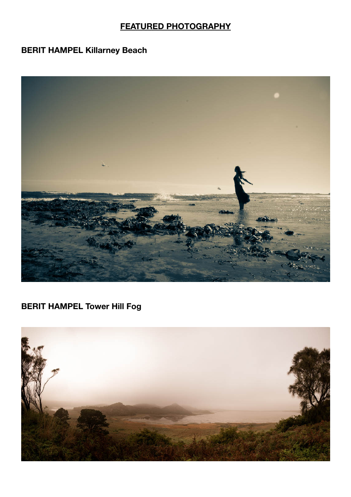### **FEATURED PHOTOGRAPHY**

### **BERIT HAMPEL Killarney Beach**



## **BERIT HAMPEL Tower Hill Fog**

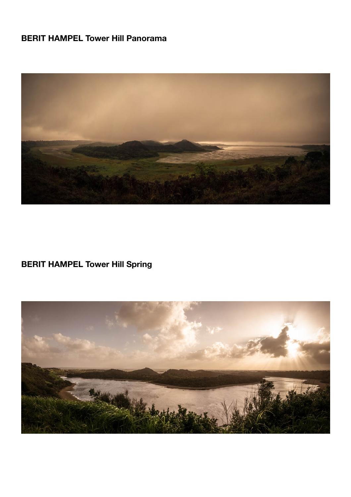## **BERIT HAMPEL Tower Hill Panorama**



## **BERIT HAMPEL Tower Hill Spring**

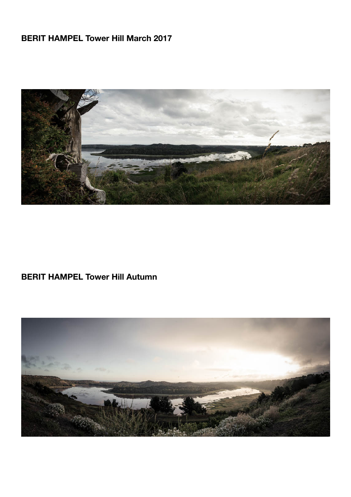## **BERIT HAMPEL Tower Hill March 2017**



### **BERIT HAMPEL Tower Hill Autumn**

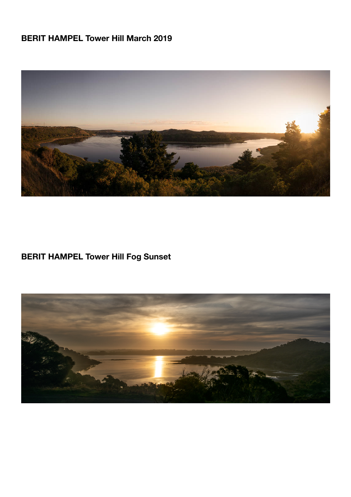## **BERIT HAMPEL Tower Hill March 2019**



## **BERIT HAMPEL Tower Hill Fog Sunset**

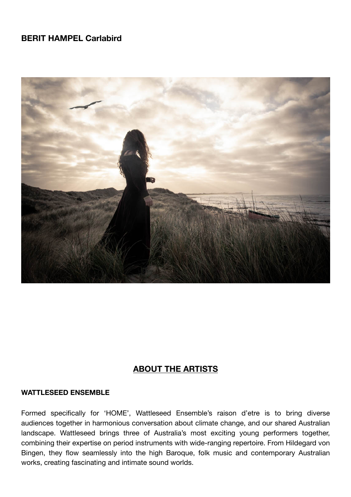#### **BERIT HAMPEL Carlabird**



#### **ABOUT THE ARTISTS**

#### **WATTLESEED ENSEMBLE**

Formed specifically for 'HOME', Wattleseed Ensemble's raison d'etre is to bring diverse audiences together in harmonious conversation about climate change, and our shared Australian landscape. Wattleseed brings three of Australia's most exciting young performers together, combining their expertise on period instruments with wide-ranging repertoire. From Hildegard von Bingen, they flow seamlessly into the high Baroque, folk music and contemporary Australian works, creating fascinating and intimate sound worlds.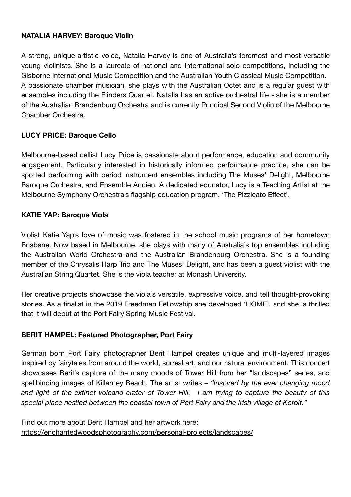#### **NATALIA HARVEY: Baroque Violin**

A strong, unique artistic voice, Natalia Harvey is one of Australia's foremost and most versatile young violinists. She is a laureate of national and international solo competitions, including the Gisborne International Music Competition and the Australian Youth Classical Music Competition. A passionate chamber musician, she plays with the Australian Octet and is a regular guest with ensembles including the Flinders Quartet. Natalia has an active orchestral life - she is a member of the Australian Brandenburg Orchestra and is currently Principal Second Violin of the Melbourne Chamber Orchestra.

#### **LUCY PRICE: Baroque Cello**

Melbourne-based cellist Lucy Price is passionate about performance, education and community engagement. Particularly interested in historically informed performance practice, she can be spotted performing with period instrument ensembles including The Muses' Delight, Melbourne Baroque Orchestra, and Ensemble Ancien. A dedicated educator, Lucy is a Teaching Artist at the Melbourne Symphony Orchestra's flagship education program, 'The Pizzicato Effect'.

#### **KATIE YAP: Baroque Viola**

Violist Katie Yap's love of music was fostered in the school music programs of her hometown Brisbane. Now based in Melbourne, she plays with many of Australia's top ensembles including the Australian World Orchestra and the Australian Brandenburg Orchestra. She is a founding member of the Chrysalis Harp Trio and The Muses' Delight, and has been a guest violist with the Australian String Quartet. She is the viola teacher at Monash University.

Her creative projects showcase the viola's versatile, expressive voice, and tell thought-provoking stories. As a finalist in the 2019 Freedman Fellowship she developed 'HOME', and she is thrilled that it will debut at the Port Fairy Spring Music Festival.

#### **BERIT HAMPEL: Featured Photographer, Port Fairy**

German born Port Fairy photographer Berit Hampel creates unique and multi-layered images inspired by fairytales from around the world, surreal art, and our natural environment. This concert showcases Berit's capture of the many moods of Tower Hill from her "landscapes" series, and spellbinding images of Killarney Beach. The artist writes – *"Inspired by the ever changing mood and light of the extinct volcano crater of Tower Hill, I am trying to capture the beauty of this special place nestled between the coastal town of Port Fairy and the Irish village of Koroit."*

Find out more about Berit Hampel and her artwork here: <https://enchantedwoodsphotography.com/personal-projects/landscapes/>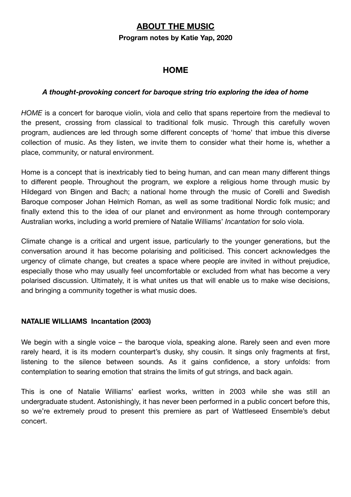#### **ABOUT THE MUSIC**

#### **Program notes by Katie Yap, 2020**

#### **HOME**

#### *A thought-provoking concert for baroque string trio exploring the idea of home*

*HOME* is a concert for baroque violin, viola and cello that spans repertoire from the medieval to the present, crossing from classical to traditional folk music. Through this carefully woven program, audiences are led through some different concepts of 'home' that imbue this diverse collection of music. As they listen, we invite them to consider what their home is, whether a place, community, or natural environment.

Home is a concept that is inextricably tied to being human, and can mean many different things to different people. Throughout the program, we explore a religious home through music by Hildegard von Bingen and Bach; a national home through the music of Corelli and Swedish Baroque composer Johan Helmich Roman, as well as some traditional Nordic folk music; and finally extend this to the idea of our planet and environment as home through contemporary Australian works, including a world premiere of Natalie Williams' *Incantation* for solo viola.

Climate change is a critical and urgent issue, particularly to the younger generations, but the conversation around it has become polarising and politicised. This concert acknowledges the urgency of climate change, but creates a space where people are invited in without prejudice, especially those who may usually feel uncomfortable or excluded from what has become a very polarised discussion. Ultimately, it is what unites us that will enable us to make wise decisions, and bringing a community together is what music does.

#### **NATALIE WILLIAMS Incantation (2003)**

We begin with a single voice – the baroque viola, speaking alone. Rarely seen and even more rarely heard, it is its modern counterpart's dusky, shy cousin. It sings only fragments at first, listening to the silence between sounds. As it gains confidence, a story unfolds: from contemplation to searing emotion that strains the limits of gut strings, and back again.

This is one of Natalie Williams' earliest works, written in 2003 while she was still an undergraduate student. Astonishingly, it has never been performed in a public concert before this, so we're extremely proud to present this premiere as part of Wattleseed Ensemble's debut concert.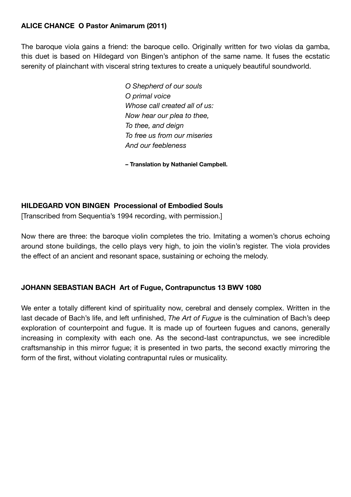#### **ALICE CHANCE O Pastor Animarum (2011)**

The baroque viola gains a friend: the baroque cello. Originally written for two violas da gamba, this duet is based on Hildegard von Bingen's antiphon of the same name. It fuses the ecstatic serenity of plainchant with visceral string textures to create a uniquely beautiful soundworld.

> *O Shepherd of our souls O primal voice Whose call created all of us: Now hear our plea to thee, To thee, and deign To free us from our miseries And our feebleness*

**– Translation by Nathaniel Campbell.** 

#### **HILDEGARD VON BINGEN Processional of Embodied Souls**

[Transcribed from Sequentia's 1994 recording, with permission.]

Now there are three: the baroque violin completes the trio. Imitating a women's chorus echoing around stone buildings, the cello plays very high, to join the violin's register. The viola provides the effect of an ancient and resonant space, sustaining or echoing the melody.

#### **JOHANN SEBASTIAN BACH Art of Fugue, Contrapunctus 13 BWV 1080**

We enter a totally different kind of spirituality now, cerebral and densely complex. Written in the last decade of Bach's life, and left unfinished, *The Art of Fugue* is the culmination of Bach's deep exploration of counterpoint and fugue. It is made up of fourteen fugues and canons, generally increasing in complexity with each one. As the second-last contrapunctus, we see incredible craftsmanship in this mirror fugue; it is presented in two parts, the second exactly mirroring the form of the first, without violating contrapuntal rules or musicality.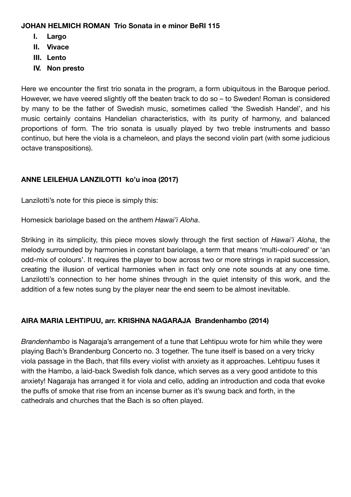#### **JOHAN HELMICH ROMAN Trio Sonata in e minor BeRI 115**

- **I. Largo**
- **II. Vivace**
- **III. Lento**
- **IV. Non presto**

Here we encounter the first trio sonata in the program, a form ubiquitous in the Baroque period. However, we have veered slightly off the beaten track to do so – to Sweden! Roman is considered by many to be the father of Swedish music, sometimes called 'the Swedish Handel', and his music certainly contains Handelian characteristics, with its purity of harmony, and balanced proportions of form. The trio sonata is usually played by two treble instruments and basso continuo, but here the viola is a chameleon, and plays the second violin part (with some judicious octave transpositions).

#### **ANNE LEILEHUA LANZILOTTI ko'u inoa (2017)**

Lanzilotti's note for this piece is simply this:

Homesick bariolage based on the anthem *Hawai'i Aloha*.

Striking in its simplicity, this piece moves slowly through the first section of *Hawai'i Aloha*, the melody surrounded by harmonies in constant bariolage, a term that means 'multi-coloured' or 'an odd-mix of colours'. It requires the player to bow across two or more strings in rapid succession, creating the illusion of vertical harmonies when in fact only one note sounds at any one time. Lanzilotti's connection to her home shines through in the quiet intensity of this work, and the addition of a few notes sung by the player near the end seem to be almost inevitable.

#### **AIRA MARIA LEHTIPUU, arr. KRISHNA NAGARAJA Brandenhambo (2014)**

*Brandenhambo* is Nagaraja's arrangement of a tune that Lehtipuu wrote for him while they were playing Bach's Brandenburg Concerto no. 3 together. The tune itself is based on a very tricky viola passage in the Bach, that fills every violist with anxiety as it approaches. Lehtipuu fuses it with the Hambo, a laid-back Swedish folk dance, which serves as a very good antidote to this anxiety! Nagaraja has arranged it for viola and cello, adding an introduction and coda that evoke the puffs of smoke that rise from an incense burner as it's swung back and forth, in the cathedrals and churches that the Bach is so often played.